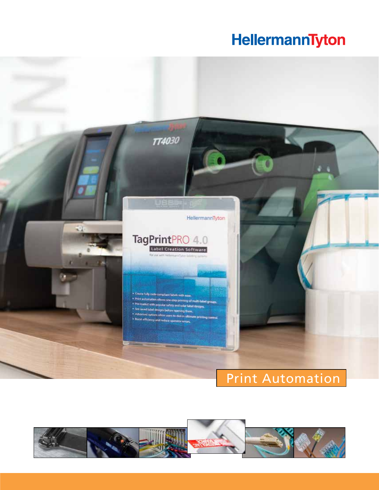# HellermannTyton



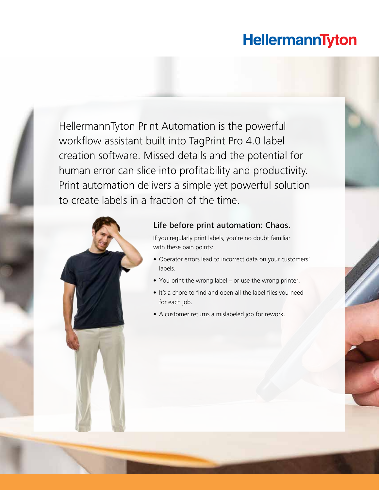## HellermannTyton

HellermannTyton Print Automation is the powerful workflow assistant built into TagPrint Pro 4.0 label creation software. Missed details and the potential for human error can slice into profitability and productivity. Print automation delivers a simple yet powerful solution to create labels in a fraction of the time.



2 www.hellermann.tyton.com 800.537.1512

#### Life before print automation: Chaos.

If you regularly print labels, you're no doubt familiar with these pain points:

- Operator errors lead to incorrect data on your customers' labels.
- You print the wrong label or use the wrong printer.
- It's a chore to find and open all the label files you need for each job.
- A customer returns a mislabeled job for rework.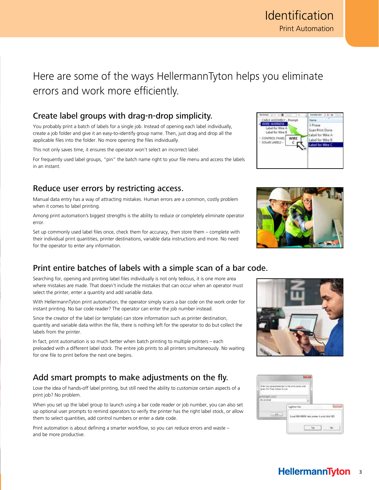## Here are some of the ways HellermannTyton helps you eliminate errors and work more efficiently.

### Create label groups with drag-n-drop simplicity.

You probably print a batch of labels for a single job. Instead of opening each label individually, create a job folder and give it an easy-to-identify group name. Then, just drag and drop all the applicable files into the folder. No more opening the files individually.

This not only saves time, it ensures the operator won't select an incorrect label.

For frequently used label groups, "pin" the batch name right to your file menu and access the labels in an instant.

### Reduce user errors by restricting access.

Manual data entry has a way of attracting mistakes. Human errors are a common, costly problem when it comes to label printing.

Among print automation's biggest strengths is the ability to reduce or completely eliminate operator error.

Set up commonly used label files once, check them for accuracy, then store them – complete with their individual print quantities, printer destinations, variable data instructions and more. No need for the operator to enter any information.

## Print entire batches of labels with a simple scan of a bar code.

Searching for, opening and printing label files individually is not only tedious, it is one more area where mistakes are made. That doesn't include the mistakes that can occur when an operator must select the printer, enter a quantity and add variable data.

With HellermannTyton print automation, the operator simply scans a bar code on the work order for instant printing. No bar code reader? The operator can enter the job number instead.

Since the creator of the label (or template) can store information such as printer destination, quantity and variable data within the file, there is nothing left for the operator to do but collect the labels from the printer.

In fact, print automation is so much better when batch printing to multiple printers – each preloaded with a different label stock. The entire job prints to all printers simultaneously. No waiting for one file to print before the next one begins.

## Add smart prompts to make adjustments on the fly.

Love the idea of hands-off label printing, but still need the ability to customize certain aspects of a print job? No problem.

When you set up the label group to launch using a bar code reader or job number, you can also set up optional user prompts to remind operators to verify the printer has the right label stock, or allow them to select quantities, add control numbers or enter a date code.

Print automation is about defining a smarter workflow, so you can reduce errors and waste – and be more productive.